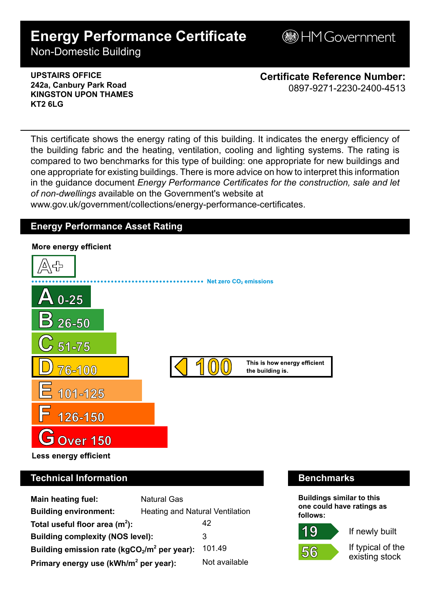# **Energy Performance Certificate**

**B**HM Government

Non-Domestic Building

### **UPSTAIRS OFFICE 242a, Canbury Park Road KINGSTON UPON THAMES KT2 6LG**

**Certificate Reference Number:** 0897-9271-2230-2400-4513

This certificate shows the energy rating of this building. It indicates the energy efficiency of the building fabric and the heating, ventilation, cooling and lighting systems. The rating is compared to two benchmarks for this type of building: one appropriate for new buildings and one appropriate for existing buildings. There is more advice on how to interpret this information in the guidance document *Energy Performance Certificates for the construction, sale and let of non-dwellings* available on the Government's website at

www.gov.uk/government/collections/energy-performance-certificates.

# **Energy Performance Asset Rating**



# **Technical Information Benchmarks**

| <b>Main heating fuel:</b>                         | <b>Natural Gas</b>              |               |
|---------------------------------------------------|---------------------------------|---------------|
| <b>Building environment:</b>                      | Heating and Natural Ventilation |               |
| Total useful floor area $(m2)$ :                  |                                 | 42            |
| <b>Building complexity (NOS level):</b>           |                                 | 3             |
| Building emission rate ( $kgCO2/m2$ per year):    |                                 | 101.49        |
| Primary energy use (kWh/m <sup>2</sup> per year): |                                 | Not available |

**Buildings similar to this one could have ratings as follows:**

If newly built



If typical of the existing stock